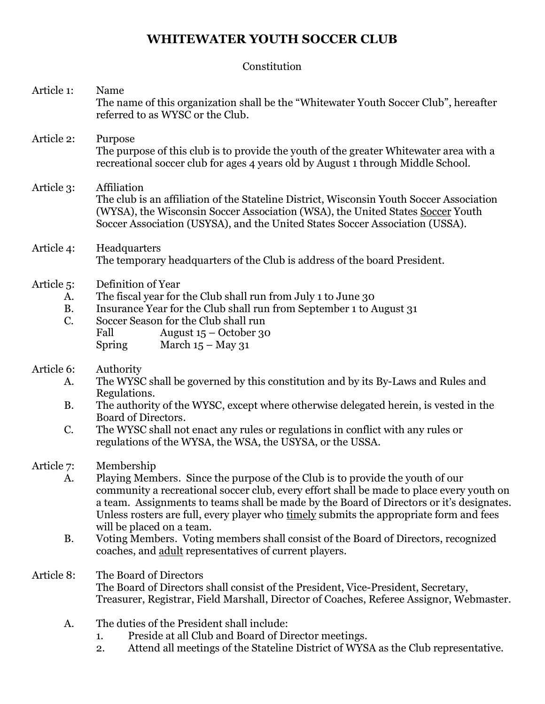# **WHITEWATER YOUTH SOCCER CLUB**

# Constitution

| Article 1:                                      | Name<br>The name of this organization shall be the "Whitewater Youth Soccer Club", hereafter<br>referred to as WYSC or the Club.                                                                                                                                                                                                                                                                           |
|-------------------------------------------------|------------------------------------------------------------------------------------------------------------------------------------------------------------------------------------------------------------------------------------------------------------------------------------------------------------------------------------------------------------------------------------------------------------|
| Article 2:                                      | Purpose<br>The purpose of this club is to provide the youth of the greater Whitewater area with a<br>recreational soccer club for ages 4 years old by August 1 through Middle School.                                                                                                                                                                                                                      |
| Article 3:                                      | Affiliation<br>The club is an affiliation of the Stateline District, Wisconsin Youth Soccer Association<br>(WYSA), the Wisconsin Soccer Association (WSA), the United States Soccer Youth<br>Soccer Association (USYSA), and the United States Soccer Association (USSA).                                                                                                                                  |
| Article 4:                                      | Headquarters<br>The temporary headquarters of the Club is address of the board President.                                                                                                                                                                                                                                                                                                                  |
| Article <sub>5</sub> :<br>A.<br><b>B.</b><br>C. | Definition of Year<br>The fiscal year for the Club shall run from July 1 to June 30<br>Insurance Year for the Club shall run from September 1 to August 31<br>Soccer Season for the Club shall run<br>August $15 -$ October 30<br>Fall<br>March $15 -$ May 31<br><b>Spring</b>                                                                                                                             |
| Article 6:<br>A.                                | Authority<br>The WYSC shall be governed by this constitution and by its By-Laws and Rules and                                                                                                                                                                                                                                                                                                              |
| <b>B.</b>                                       | Regulations.<br>The authority of the WYSC, except where otherwise delegated herein, is vested in the<br>Board of Directors.                                                                                                                                                                                                                                                                                |
| C.                                              | The WYSC shall not enact any rules or regulations in conflict with any rules or<br>regulations of the WYSA, the WSA, the USYSA, or the USSA.                                                                                                                                                                                                                                                               |
| Article 7:<br>A.                                | Membership<br>Playing Members. Since the purpose of the Club is to provide the youth of our<br>community a recreational soccer club, every effort shall be made to place every youth on<br>a team. Assignments to teams shall be made by the Board of Directors or it's designates.<br>Unless rosters are full, every player who timely submits the appropriate form and fees<br>will be placed on a team. |
| <b>B.</b>                                       | Voting Members. Voting members shall consist of the Board of Directors, recognized<br>coaches, and adult representatives of current players.                                                                                                                                                                                                                                                               |
| Article 8:                                      | The Board of Directors<br>The Board of Directors shall consist of the President, Vice-President, Secretary,<br>Treasurer, Registrar, Field Marshall, Director of Coaches, Referee Assignor, Webmaster.                                                                                                                                                                                                     |
| A.                                              | The duties of the President shall include:<br>Preside at all Club and Board of Director meetings.<br>1.<br>Attend all meetings of the Stateline District of WYSA as the Club representative.<br>2.                                                                                                                                                                                                         |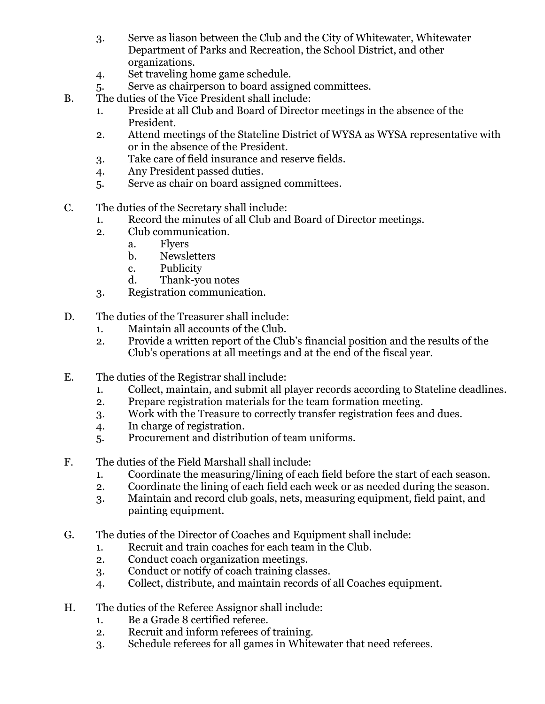- 3. Serve as liason between the Club and the City of Whitewater, Whitewater Department of Parks and Recreation, the School District, and other organizations.
- 4. Set traveling home game schedule.
- 5. Serve as chairperson to board assigned committees.
- B. The duties of the Vice President shall include:
	- 1. Preside at all Club and Board of Director meetings in the absence of the President.
	- 2. Attend meetings of the Stateline District of WYSA as WYSA representative with or in the absence of the President.
	- 3. Take care of field insurance and reserve fields.
	- 4. Any President passed duties.
	- 5. Serve as chair on board assigned committees.
- C. The duties of the Secretary shall include:
	- 1. Record the minutes of all Club and Board of Director meetings.
	- 2. Club communication.
		- a. Flyers
			- b. Newsletters
			- c. Publicity
			- d. Thank-you notes
	- 3. Registration communication.
- D. The duties of the Treasurer shall include:
	- 1. Maintain all accounts of the Club.
	- 2. Provide a written report of the Club's financial position and the results of the Club's operations at all meetings and at the end of the fiscal year.
- E. The duties of the Registrar shall include:
	- 1. Collect, maintain, and submit all player records according to Stateline deadlines.
	- 2. Prepare registration materials for the team formation meeting.
	- 3. Work with the Treasure to correctly transfer registration fees and dues.
	- 4. In charge of registration.
	- 5. Procurement and distribution of team uniforms.
- F. The duties of the Field Marshall shall include:
	- 1. Coordinate the measuring/lining of each field before the start of each season.
	- 2. Coordinate the lining of each field each week or as needed during the season.
	- 3. Maintain and record club goals, nets, measuring equipment, field paint, and painting equipment.
- G. The duties of the Director of Coaches and Equipment shall include:
	- 1. Recruit and train coaches for each team in the Club.
	- 2. Conduct coach organization meetings.
	- 3. Conduct or notify of coach training classes.
	- 4. Collect, distribute, and maintain records of all Coaches equipment.
- H. The duties of the Referee Assignor shall include:
	- 1. Be a Grade 8 certified referee.
	- 2. Recruit and inform referees of training.
	- 3. Schedule referees for all games in Whitewater that need referees.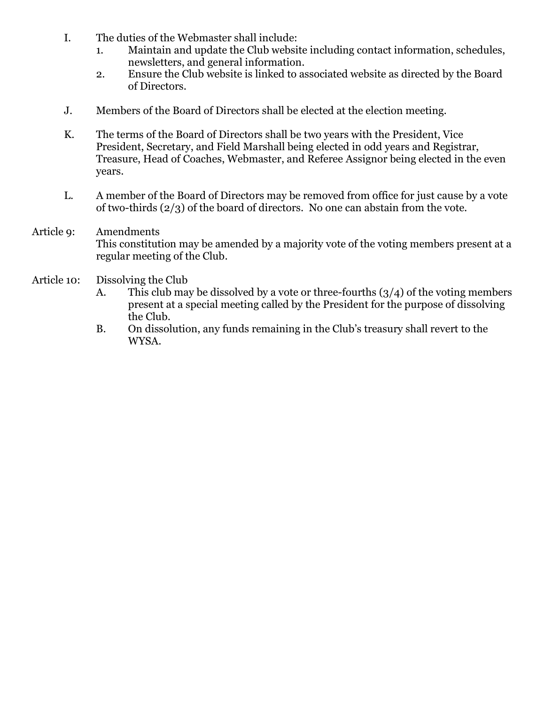- I. The duties of the Webmaster shall include:
	- 1. Maintain and update the Club website including contact information, schedules, newsletters, and general information.
	- 2. Ensure the Club website is linked to associated website as directed by the Board of Directors.
- J. Members of the Board of Directors shall be elected at the election meeting.
- K. The terms of the Board of Directors shall be two years with the President, Vice President, Secretary, and Field Marshall being elected in odd years and Registrar, Treasure, Head of Coaches, Webmaster, and Referee Assignor being elected in the even years.
- L. A member of the Board of Directors may be removed from office for just cause by a vote of two-thirds (2/3) of the board of directors. No one can abstain from the vote.

# Article 9: Amendments This constitution may be amended by a majority vote of the voting members present at a regular meeting of the Club.

#### Article 10: Dissolving the Club

- A. This club may be dissolved by a vote or three-fourths  $(3/4)$  of the voting members present at a special meeting called by the President for the purpose of dissolving the Club.
- B. On dissolution, any funds remaining in the Club's treasury shall revert to the WYSA.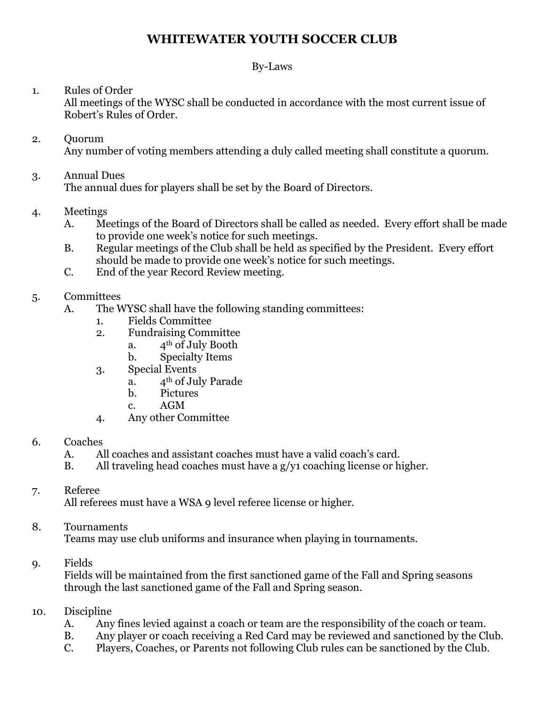# **WHITEWATER YOUTH SOCCER CLUB**

# By-Laws

# 1. Rules of Order

All meetings of the WYSC shall be conducted in accordance with the most current issue of Robert's Rules of Order.

#### 2. Quorum Any number of voting members attending a duly called meeting shall constitute a quorum.

## 3. Annual Dues

The annual dues for players shall be set by the Board of Directors.

### 4. Meetings

- A. Meetings of the Board of Directors shall be called as needed. Every effort shall be made to provide one week's notice for such meetings.
- B. Regular meetings of the Club shall be held as specified by the President. Every effort should be made to provide one week's notice for such meetings.
- C. End of the year Record Review meeting.

### 5. Committees

- A. The WYSC shall have the following standing committees:
	- 1. Fields Committee
	- 2. Fundraising Committee
		- a.  $4^{\text{th}}$  of July Booth
			- b. Specialty Items
	- 3. Special Events
		- a. 4th of July Parade
		- b. Pictures
		- c. AGM
	- 4. Any other Committee

#### 6. Coaches

- A. All coaches and assistant coaches must have a valid coach's card.
- B. All traveling head coaches must have a g/y1 coaching license or higher.

### 7. Referee

All referees must have a WSA 9 level referee license or higher.

### 8. Tournaments

Teams may use club uniforms and insurance when playing in tournaments.

#### 9. Fields

Fields will be maintained from the first sanctioned game of the Fall and Spring seasons through the last sanctioned game of the Fall and Spring season.

### 10. Discipline

- A. Any fines levied against a coach or team are the responsibility of the coach or team.
- B. Any player or coach receiving a Red Card may be reviewed and sanctioned by the Club.
- C. Players, Coaches, or Parents not following Club rules can be sanctioned by the Club.